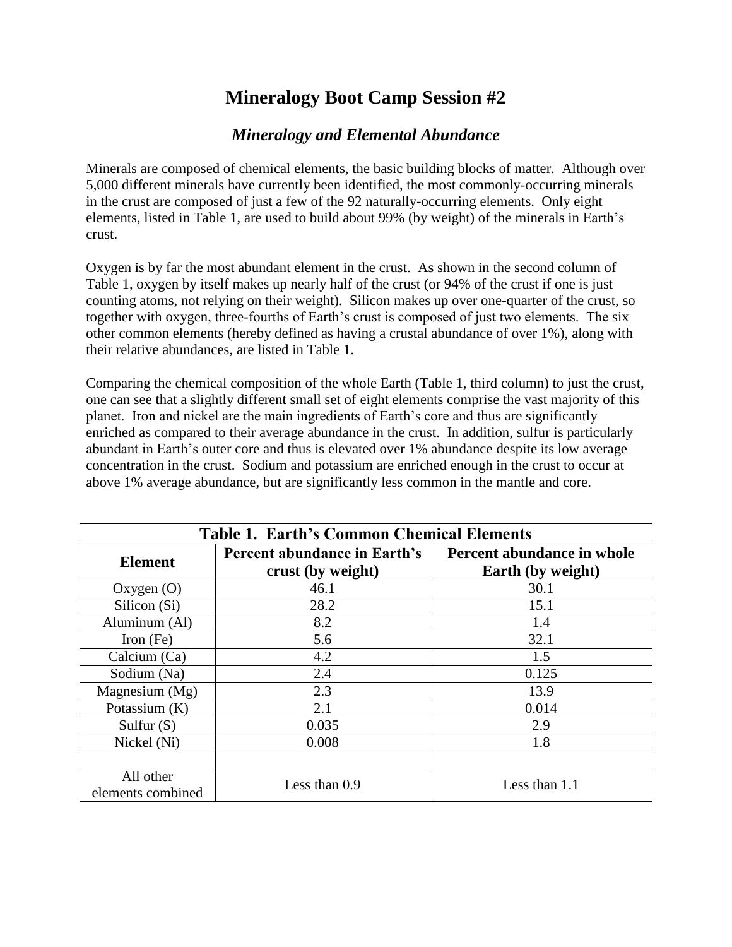## **Mineralogy Boot Camp Session #2**

## *Mineralogy and Elemental Abundance*

Minerals are composed of chemical elements, the basic building blocks of matter. Although over 5,000 different minerals have currently been identified, the most commonly-occurring minerals in the crust are composed of just a few of the 92 naturally-occurring elements. Only eight elements, listed in Table 1, are used to build about 99% (by weight) of the minerals in Earth's crust.

Oxygen is by far the most abundant element in the crust. As shown in the second column of Table 1, oxygen by itself makes up nearly half of the crust (or 94% of the crust if one is just counting atoms, not relying on their weight). Silicon makes up over one-quarter of the crust, so together with oxygen, three-fourths of Earth's crust is composed of just two elements. The six other common elements (hereby defined as having a crustal abundance of over 1%), along with their relative abundances, are listed in Table 1.

Comparing the chemical composition of the whole Earth (Table 1, third column) to just the crust, one can see that a slightly different small set of eight elements comprise the vast majority of this planet. Iron and nickel are the main ingredients of Earth's core and thus are significantly enriched as compared to their average abundance in the crust. In addition, sulfur is particularly abundant in Earth's outer core and thus is elevated over 1% abundance despite its low average concentration in the crust. Sodium and potassium are enriched enough in the crust to occur at above 1% average abundance, but are significantly less common in the mantle and core.

| <b>Table 1. Earth's Common Chemical Elements</b> |                                                   |                                                 |
|--------------------------------------------------|---------------------------------------------------|-------------------------------------------------|
| <b>Element</b>                                   | Percent abundance in Earth's<br>crust (by weight) | Percent abundance in whole<br>Earth (by weight) |
| Oxygen $(O)$                                     | 46.1                                              | 30.1                                            |
| Silicon (Si)                                     | 28.2                                              | 15.1                                            |
| Aluminum (Al)                                    | 8.2                                               | 1.4                                             |
| Iron $(Fe)$                                      | 5.6                                               | 32.1                                            |
| Calcium (Ca)                                     | 4.2                                               | 1.5                                             |
| Sodium (Na)                                      | 2.4                                               | 0.125                                           |
| Magnesium (Mg)                                   | 2.3                                               | 13.9                                            |
| Potassium $(K)$                                  | 2.1                                               | 0.014                                           |
| Sulfur $(S)$                                     | 0.035                                             | 2.9                                             |
| Nickel (Ni)                                      | 0.008                                             | 1.8                                             |
|                                                  |                                                   |                                                 |
| All other<br>elements combined                   | Less than $0.9$                                   | Less than 1.1                                   |